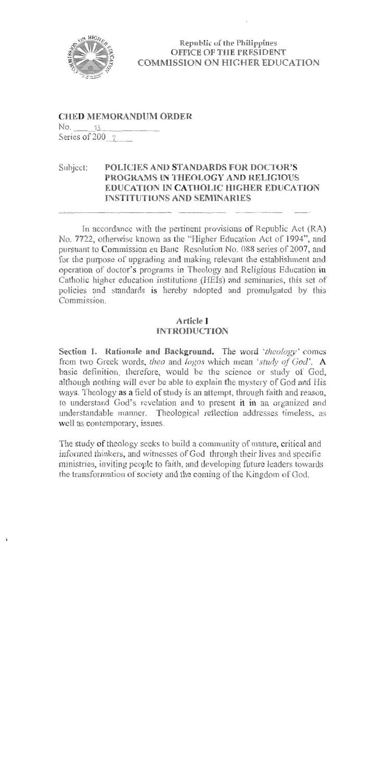

**Republic of the Philippines OFFICE OF THE PRESIDENT COMMISSION ON HIGHER EDUCATION** 

## **CHED MEMORANDUM ORDER**

No. 13 Series of 200 7

#### Subject: **POLICIES AND STANDARDS FOR DOCTOR'S** PROGRAMS IN THEOLOGY AND RELIGIOUS **EDUCATION IN CATHOLIC HIGHER EDUCATION INSTITUTIONS AND SEMINARIES**

In accordance with the pertinent provisions of Republic Act (RA) No. 7722, otherwise known as the "Higher Education Act of 1994", and pursuant to Commission en Banc Resolution No. 088 series of 2007, and for the purpose of upgrading and making relevant the establishment and operation of doctor's programs in Theology and Religious Education in Catholic higher education institutions (HEIs) and seminaries, this set of policies and standards is hereby adopted and promulgated by this Commission

#### Article I **INTRODUCTION**

Section 1. Rationale and Background. The word 'theology' comes from two Greek words, theo and logos which mean 'study of God'. A basic definition, therefore, would be the science or study of God, although nothing will ever be able to explain the mystery of God and His ways. Theology as a field of study is an attempt, through faith and reason, to understand God's revelation and to present it in an organized and understandable manner. Theological reflection addresses timeless, as well as contemporary, issues.

The study of theology seeks to build a community of mature, critical and informed thinkers, and witnesses of God through their lives and specific ministries, inviting people to faith, and developing future leaders towards the transformation of society and the coming of the Kingdom of God.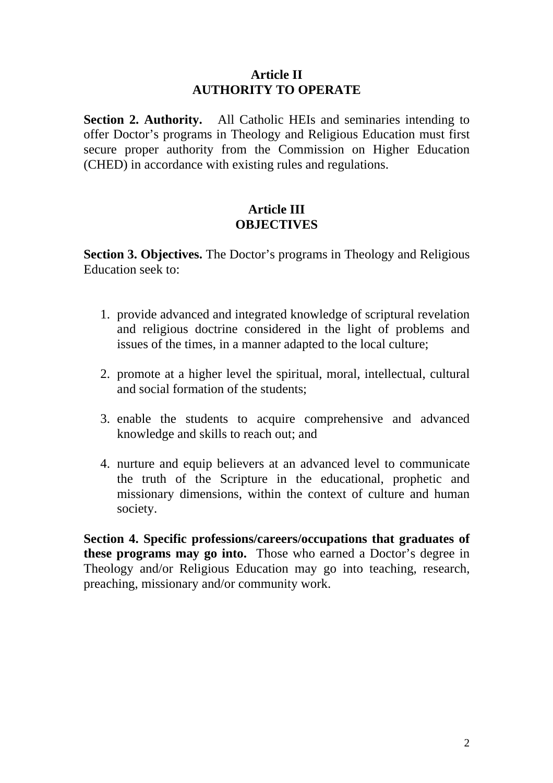## **Article II AUTHORITY TO OPERATE**

**Section 2. Authority.** All Catholic HEIs and seminaries intending to offer Doctor's programs in Theology and Religious Education must first secure proper authority from the Commission on Higher Education (CHED) in accordance with existing rules and regulations.

## **Article III OBJECTIVES**

**Section 3. Objectives.** The Doctor's programs in Theology and Religious Education seek to:

- 1. provide advanced and integrated knowledge of scriptural revelation and religious doctrine considered in the light of problems and issues of the times, in a manner adapted to the local culture;
- 2. promote at a higher level the spiritual, moral, intellectual, cultural and social formation of the students;
- 3. enable the students to acquire comprehensive and advanced knowledge and skills to reach out; and
- 4. nurture and equip believers at an advanced level to communicate the truth of the Scripture in the educational, prophetic and missionary dimensions, within the context of culture and human society.

**Section 4. Specific professions/careers/occupations that graduates of these programs may go into.**Those who earned a Doctor's degree in Theology and/or Religious Education may go into teaching, research, preaching, missionary and/or community work.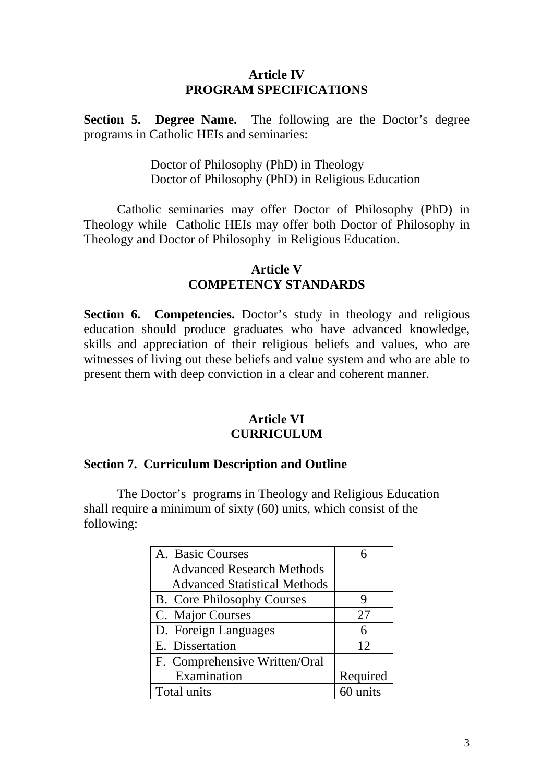## **Article IV PROGRAM SPECIFICATIONS**

**Section 5. Degree Name.** The following are the Doctor's degree programs in Catholic HEIs and seminaries:

> Doctor of Philosophy (PhD) in Theology Doctor of Philosophy (PhD) in Religious Education

Catholic seminaries may offer Doctor of Philosophy (PhD) in Theology while Catholic HEIs may offer both Doctor of Philosophy in Theology and Doctor of Philosophy in Religious Education.

## **Article V COMPETENCY STANDARDS**

**Section 6. Competencies.** Doctor's study in theology and religious education should produce graduates who have advanced knowledge, skills and appreciation of their religious beliefs and values, who are witnesses of living out these beliefs and value system and who are able to present them with deep conviction in a clear and coherent manner.

### **Article VI CURRICULUM**

## **Section 7. Curriculum Description and Outline**

The Doctor's programs in Theology and Religious Education shall require a minimum of sixty (60) units, which consist of the following:

| A. Basic Courses                    |          |
|-------------------------------------|----------|
| <b>Advanced Research Methods</b>    |          |
| <b>Advanced Statistical Methods</b> |          |
| <b>B.</b> Core Philosophy Courses   | 9        |
| C. Major Courses                    | 27       |
| D. Foreign Languages                | 6        |
| E. Dissertation                     | 12       |
| F. Comprehensive Written/Oral       |          |
| Examination                         | Required |
| Total units                         | nnits)   |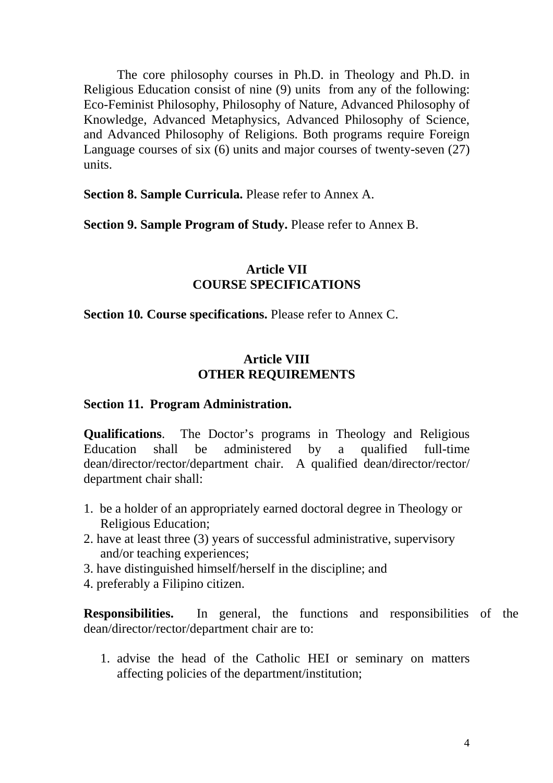The core philosophy courses in Ph.D. in Theology and Ph.D. in Religious Education consist of nine (9) units from any of the following: Eco-Feminist Philosophy, Philosophy of Nature, Advanced Philosophy of Knowledge, Advanced Metaphysics, Advanced Philosophy of Science, and Advanced Philosophy of Religions. Both programs require Foreign Language courses of six (6) units and major courses of twenty-seven (27) units.

**Section 8. Sample Curricula.** Please refer to Annex A.

**Section 9. Sample Program of Study.** Please refer to Annex B.

## **Article VII COURSE SPECIFICATIONS**

**Section 10***.* **Course specifications.** Please refer to Annex C.

## **Article VIII OTHER REQUIREMENTS**

## **Section 11. Program Administration.**

**Qualifications**. The Doctor's programs in Theology and Religious Education shall be administered by a qualified full-time dean/director/rector/department chair. A qualified dean/director/rector/ department chair shall:

- 1. be a holder of an appropriately earned doctoral degree in Theology or Religious Education;
- 2. have at least three (3) years of successful administrative, supervisory and/or teaching experiences;
- 3. have distinguished himself/herself in the discipline; and
- 4. preferably a Filipino citizen.

**Responsibilities.** In general, the functions and responsibilities of the dean/director/rector/department chair are to:

1. advise the head of the Catholic HEI or seminary on matters affecting policies of the department/institution;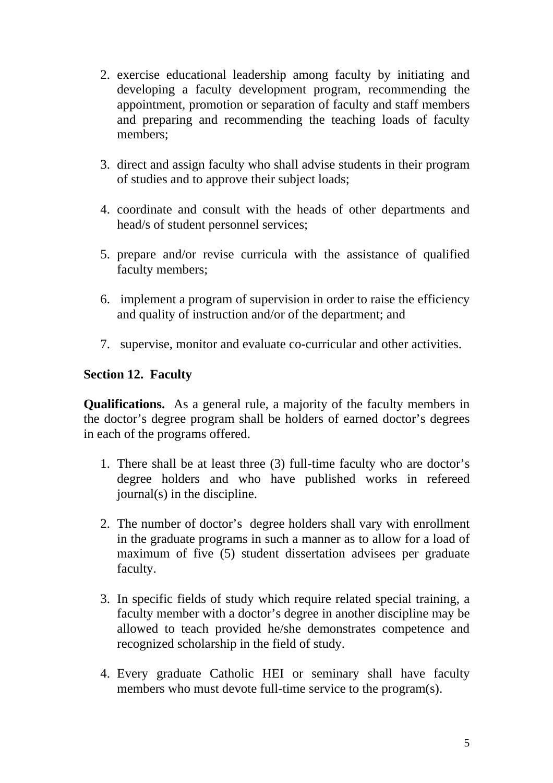- 2. exercise educational leadership among faculty by initiating and developing a faculty development program, recommending the appointment, promotion or separation of faculty and staff members and preparing and recommending the teaching loads of faculty members;
- 3. direct and assign faculty who shall advise students in their program of studies and to approve their subject loads;
- 4. coordinate and consult with the heads of other departments and head/s of student personnel services;
- 5. prepare and/or revise curricula with the assistance of qualified faculty members;
- 6. implement a program of supervision in order to raise the efficiency and quality of instruction and/or of the department; and
- 7. supervise, monitor and evaluate co-curricular and other activities.

## **Section 12. Faculty**

**Qualifications.** As a general rule, a majority of the faculty members in the doctor's degree program shall be holders of earned doctor's degrees in each of the programs offered.

- 1. There shall be at least three (3) full-time faculty who are doctor's degree holders and who have published works in refereed journal(s) in the discipline.
- 2. The number of doctor's degree holders shall vary with enrollment in the graduate programs in such a manner as to allow for a load of maximum of five (5) student dissertation advisees per graduate faculty.
- 3. In specific fields of study which require related special training, a faculty member with a doctor's degree in another discipline may be allowed to teach provided he/she demonstrates competence and recognized scholarship in the field of study.
- 4. Every graduate Catholic HEI or seminary shall have faculty members who must devote full-time service to the program(s).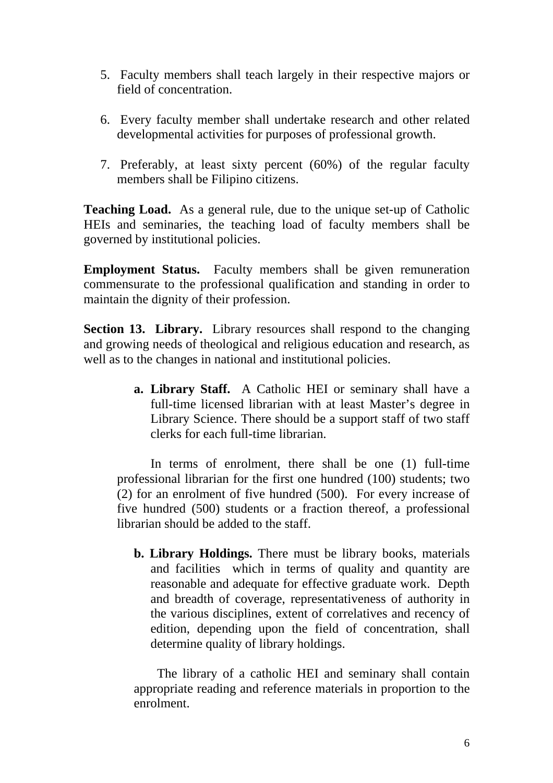- 5. Faculty members shall teach largely in their respective majors or field of concentration.
- 6. Every faculty member shall undertake research and other related developmental activities for purposes of professional growth.
- 7. Preferably, at least sixty percent (60%) of the regular faculty members shall be Filipino citizens.

**Teaching Load.** As a general rule, due to the unique set-up of Catholic HEIs and seminaries, the teaching load of faculty members shall be governed by institutional policies.

**Employment Status.** Faculty members shall be given remuneration commensurate to the professional qualification and standing in order to maintain the dignity of their profession.

**Section 13. Library.** Library resources shall respond to the changing and growing needs of theological and religious education and research, as well as to the changes in national and institutional policies.

> **a. Library Staff.** A Catholic HEI or seminary shall have a full-time licensed librarian with at least Master's degree in Library Science. There should be a support staff of two staff clerks for each full-time librarian.

In terms of enrolment, there shall be one (1) full-time professional librarian for the first one hundred (100) students; two (2) for an enrolment of five hundred (500). For every increase of five hundred (500) students or a fraction thereof, a professional librarian should be added to the staff.

**b. Library Holdings.** There must be library books, materials and facilities which in terms of quality and quantity are reasonable and adequate for effective graduate work. Depth and breadth of coverage, representativeness of authority in the various disciplines, extent of correlatives and recency of edition, depending upon the field of concentration, shall determine quality of library holdings.

The library of a catholic HEI and seminary shall contain appropriate reading and reference materials in proportion to the enrolment.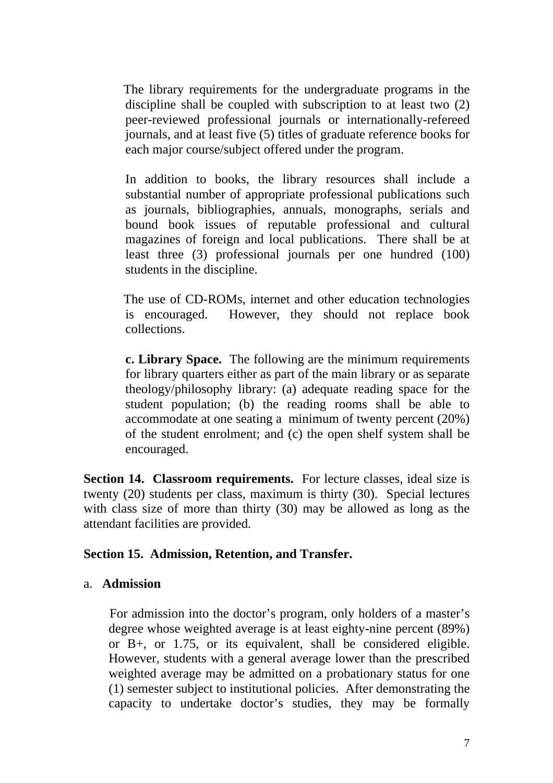The library requirements for the undergraduate programs in the discipline shall be coupled with subscription to at least two (2) peer-reviewed professional journals or internationally-refereed journals, and at least five (5) titles of graduate reference books for each major course/subject offered under the program.

In addition to books, the library resources shall include a substantial number of appropriate professional publications such as journals, bibliographies, annuals, monographs, serials and bound book issues of reputable professional and cultural magazines of foreign and local publications. There shall be at least three (3) professional journals per one hundred (100) students in the discipline.

The use of CD-ROMs, internet and other education technologies is encouraged. However, they should not replace book collections.

**c. Library Space.** The following are the minimum requirements for library quarters either as part of the main library or as separate theology/philosophy library: (a) adequate reading space for the student population; (b) the reading rooms shall be able to accommodate at one seating a minimum of twenty percent (20%) of the student enrolment; and (c) the open shelf system shall be encouraged.

**Section 14. Classroom requirements.** For lecture classes, ideal size is twenty (20) students per class, maximum is thirty (30). Special lectures with class size of more than thirty (30) may be allowed as long as the attendant facilities are provided.

#### **Section 15. Admission, Retention, and Transfer.**

#### a. **Admission**

 For admission into the doctor's program, only holders of a master's degree whose weighted average is at least eighty-nine percent (89%) or B+, or 1.75, or its equivalent, shall be considered eligible. However, students with a general average lower than the prescribed weighted average may be admitted on a probationary status for one (1) semester subject to institutional policies. After demonstrating the capacity to undertake doctor's studies, they may be formally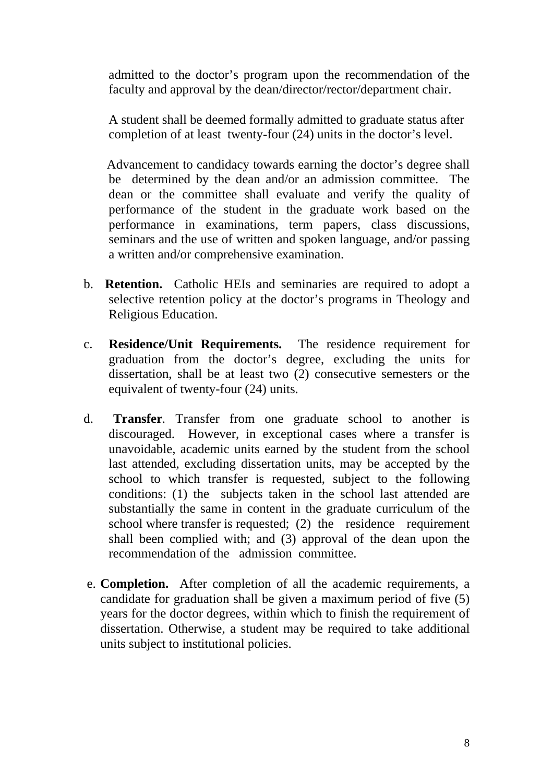admitted to the doctor's program upon the recommendation of the faculty and approval by the dean/director/rector/department chair.

A student shall be deemed formally admitted to graduate status after completion of at least twenty-four (24) units in the doctor's level.

Advancement to candidacy towards earning the doctor's degree shall be determined by the dean and/or an admission committee. The dean or the committee shall evaluate and verify the quality of performance of the student in the graduate work based on the performance in examinations, term papers, class discussions, seminars and the use of written and spoken language, and/or passing a written and/or comprehensive examination.

- b. **Retention.** Catholic HEIs and seminaries are required to adopt a selective retention policy at the doctor's programs in Theology and Religious Education.
- c. **Residence/Unit Requirements.** The residence requirement for graduation from the doctor's degree, excluding the units for dissertation, shall be at least two (2) consecutive semesters or the equivalent of twenty-four (24) units.
- d. **Transfer***.* Transfer from one graduate school to another is discouraged. However, in exceptional cases where a transfer is unavoidable, academic units earned by the student from the school last attended, excluding dissertation units, may be accepted by the school to which transfer is requested, subject to the following conditions: (1) the subjects taken in the school last attended are substantially the same in content in the graduate curriculum of the school where transfer is requested; (2) the residence requirement shall been complied with; and (3) approval of the dean upon the recommendation of the admission committee.
- e. **Completion.** After completion of all the academic requirements, a candidate for graduation shall be given a maximum period of five (5) years for the doctor degrees, within which to finish the requirement of dissertation. Otherwise, a student may be required to take additional units subject to institutional policies.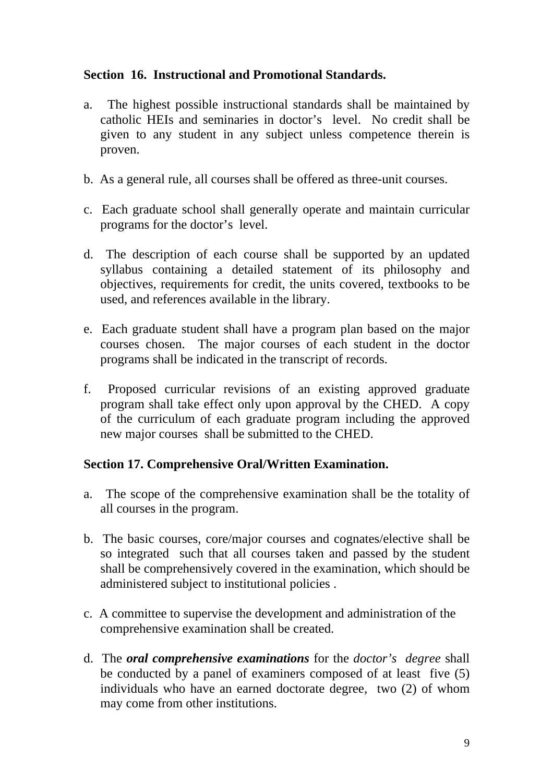## **Section 16. Instructional and Promotional Standards.**

- a. The highest possible instructional standards shall be maintained by catholic HEIs and seminaries in doctor's level. No credit shall be given to any student in any subject unless competence therein is proven.
- b. As a general rule, all courses shall be offered as three-unit courses.
- c. Each graduate school shall generally operate and maintain curricular programs for the doctor's level.
- d. The description of each course shall be supported by an updated syllabus containing a detailed statement of its philosophy and objectives, requirements for credit, the units covered, textbooks to be used, and references available in the library.
- e. Each graduate student shall have a program plan based on the major courses chosen. The major courses of each student in the doctor programs shall be indicated in the transcript of records.
- f. Proposed curricular revisions of an existing approved graduate program shall take effect only upon approval by the CHED. A copy of the curriculum of each graduate program including the approved new major courses shall be submitted to the CHED.

## **Section 17. Comprehensive Oral/Written Examination.**

- a. The scope of the comprehensive examination shall be the totality of all courses in the program.
- b. The basic courses, core/major courses and cognates/elective shall be so integrated such that all courses taken and passed by the student shall be comprehensively covered in the examination, which should be administered subject to institutional policies .
- c. A committee to supervise the development and administration of the comprehensive examination shall be created.
- d. The *oral comprehensive examinations* for the *doctor's degree* shall be conducted by a panel of examiners composed of at least five (5) individuals who have an earned doctorate degree, two (2) of whom may come from other institutions.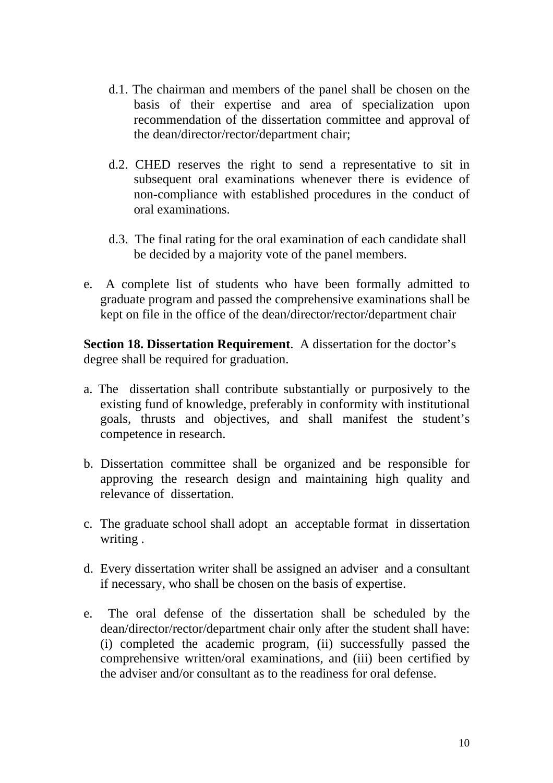- d.1. The chairman and members of the panel shall be chosen on the basis of their expertise and area of specialization upon recommendation of the dissertation committee and approval of the dean/director/rector/department chair;
- d.2. CHED reserves the right to send a representative to sit in subsequent oral examinations whenever there is evidence of non-compliance with established procedures in the conduct of oral examinations.
- d.3. The final rating for the oral examination of each candidate shall be decided by a majority vote of the panel members.
- e. A complete list of students who have been formally admitted to graduate program and passed the comprehensive examinations shall be kept on file in the office of the dean/director/rector/department chair

**Section 18. Dissertation Requirement**. A dissertation for the doctor's degree shall be required for graduation.

- a. The dissertation shall contribute substantially or purposively to the existing fund of knowledge, preferably in conformity with institutional goals, thrusts and objectives, and shall manifest the student's competence in research.
- b. Dissertation committee shall be organized and be responsible for approving the research design and maintaining high quality and relevance of dissertation.
- c. The graduate school shall adopt an acceptable format in dissertation writing .
- d. Every dissertation writer shall be assigned an adviser and a consultant if necessary, who shall be chosen on the basis of expertise.
- e. The oral defense of the dissertation shall be scheduled by the dean/director/rector/department chair only after the student shall have: (i) completed the academic program, (ii) successfully passed the comprehensive written/oral examinations, and (iii) been certified by the adviser and/or consultant as to the readiness for oral defense.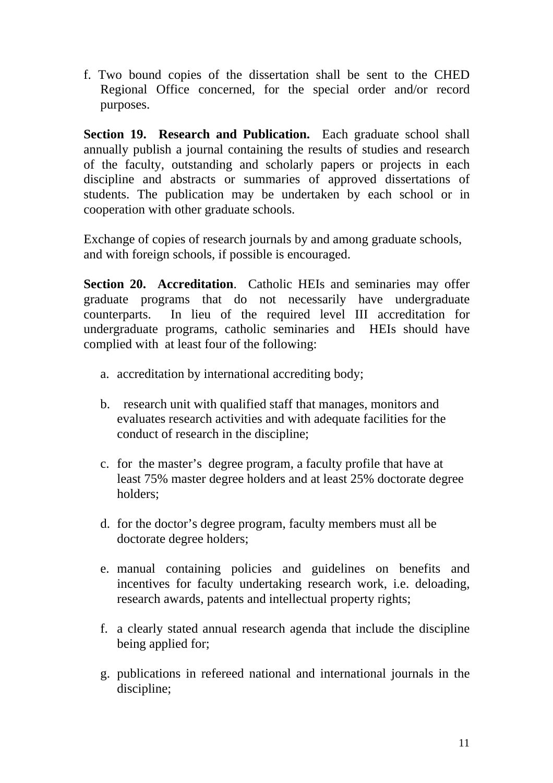f. Two bound copies of the dissertation shall be sent to the CHED Regional Office concerned, for the special order and/or record purposes.

**Section 19. Research and Publication.** Each graduate school shall annually publish a journal containing the results of studies and research of the faculty, outstanding and scholarly papers or projects in each discipline and abstracts or summaries of approved dissertations of students. The publication may be undertaken by each school or in cooperation with other graduate schools.

Exchange of copies of research journals by and among graduate schools, and with foreign schools, if possible is encouraged.

**Section 20. Accreditation**. Catholic HEIs and seminaries may offer graduate programs that do not necessarily have undergraduate counterparts. In lieu of the required level III accreditation for undergraduate programs, catholic seminaries and HEIs should have complied with at least four of the following:

- a. accreditation by international accrediting body;
- b. research unit with qualified staff that manages, monitors and evaluates research activities and with adequate facilities for the conduct of research in the discipline;
- c. for the master's degree program, a faculty profile that have at least 75% master degree holders and at least 25% doctorate degree holders;
- d. for the doctor's degree program, faculty members must all be doctorate degree holders;
- e. manual containing policies and guidelines on benefits and incentives for faculty undertaking research work, i.e. deloading, research awards, patents and intellectual property rights;
- f. a clearly stated annual research agenda that include the discipline being applied for;
- g. publications in refereed national and international journals in the discipline;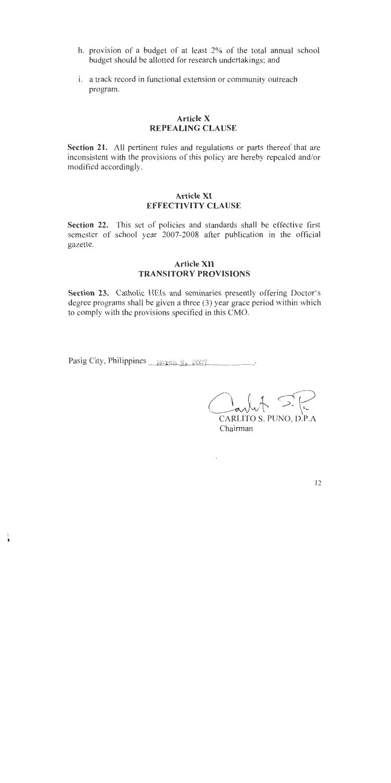- h. provision of a budget of at least 2% of the total annual school budget should be allotted for research undertakings; and
- i. a track record in functional extension or community outreach program.

#### **Article X REPEALING CLAUSE**

Section 21. All pertinent rules and regulations or parts thereof that are inconsistent with the provisions of this policy are hereby repealed and/or modified accordingly.

#### **Article XI EFFECTIVITY CLAUSE**

Section 22. This set of policies and standards shall be effective first semester of school year 2007-2008 after publication in the official gazette.

#### **Article XII TRANSITORY PROVISIONS**

Section 23. Catholic HEIs and seminaries presently offering Doctor's degree programs shall be given a three (3) year grace period within which to comply with the provisions specified in this CMO.

Pasig City, Philippines March 9, 2007

CARLITO S. PUNO. D.P.A Chairman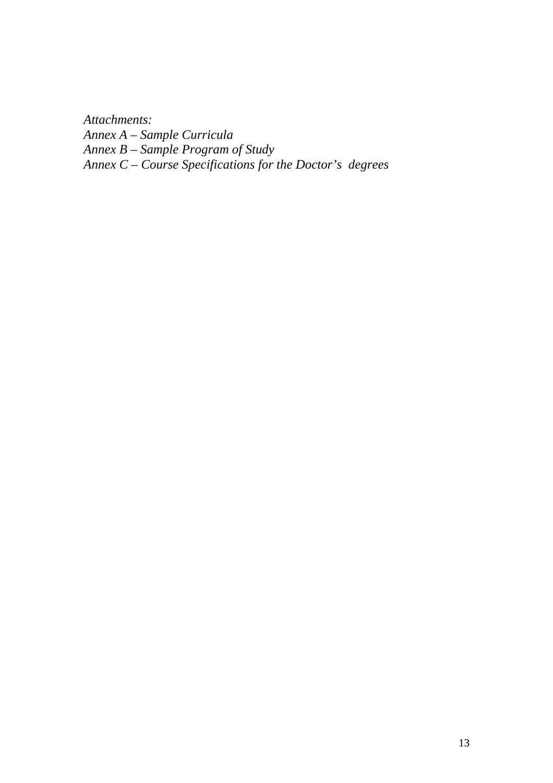*Attachments: Annex A – Sample Curricula Annex B – Sample Program of Study Annex C – Course Specifications for the Doctor's degrees*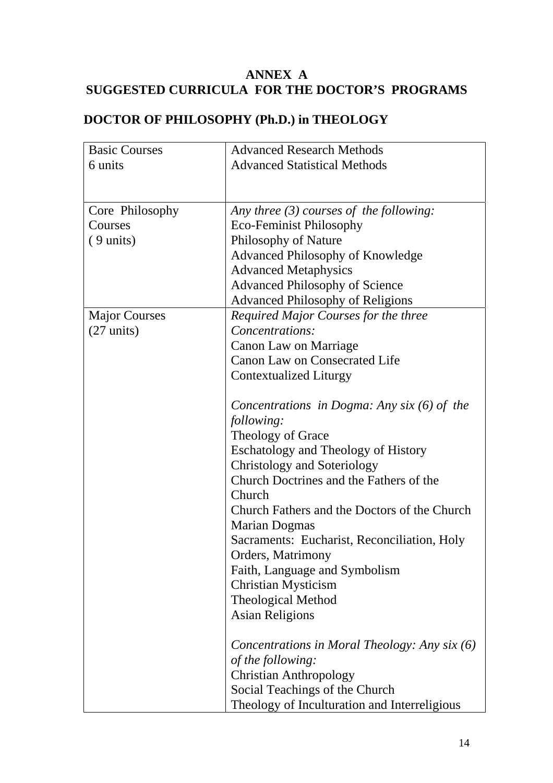# **ANNEX A SUGGESTED CURRICULA FOR THE DOCTOR'S PROGRAMS**

| <b>Basic Courses</b> | <b>Advanced Research Methods</b>                |
|----------------------|-------------------------------------------------|
| 6 units              | <b>Advanced Statistical Methods</b>             |
|                      |                                                 |
|                      |                                                 |
| Core Philosophy      | Any three $(3)$ courses of the following:       |
| Courses              | <b>Eco-Feminist Philosophy</b>                  |
| $(9 \text{ units})$  | Philosophy of Nature                            |
|                      | <b>Advanced Philosophy of Knowledge</b>         |
|                      | <b>Advanced Metaphysics</b>                     |
|                      | <b>Advanced Philosophy of Science</b>           |
|                      | <b>Advanced Philosophy of Religions</b>         |
| <b>Major Courses</b> | Required Major Courses for the three            |
| $(27 \text{ units})$ | Concentrations:                                 |
|                      | <b>Canon Law on Marriage</b>                    |
|                      | Canon Law on Consecrated Life                   |
|                      | <b>Contextualized Liturgy</b>                   |
|                      |                                                 |
|                      | Concentrations in Dogma: Any six $(6)$ of the   |
|                      | following:                                      |
|                      | Theology of Grace                               |
|                      | Eschatology and Theology of History             |
|                      | <b>Christology and Soteriology</b>              |
|                      | Church Doctrines and the Fathers of the         |
|                      | Church                                          |
|                      | Church Fathers and the Doctors of the Church    |
|                      | <b>Marian Dogmas</b>                            |
|                      | Sacraments: Eucharist, Reconciliation, Holy     |
|                      | Orders, Matrimony                               |
|                      | Faith, Language and Symbolism                   |
|                      | <b>Christian Mysticism</b>                      |
|                      | <b>Theological Method</b>                       |
|                      | <b>Asian Religions</b>                          |
|                      |                                                 |
|                      | Concentrations in Moral Theology: Any six $(6)$ |
|                      | of the following:                               |
|                      | <b>Christian Anthropology</b>                   |
|                      | Social Teachings of the Church                  |
|                      | Theology of Inculturation and Interreligious    |

# **DOCTOR OF PHILOSOPHY (Ph.D.) in THEOLOGY**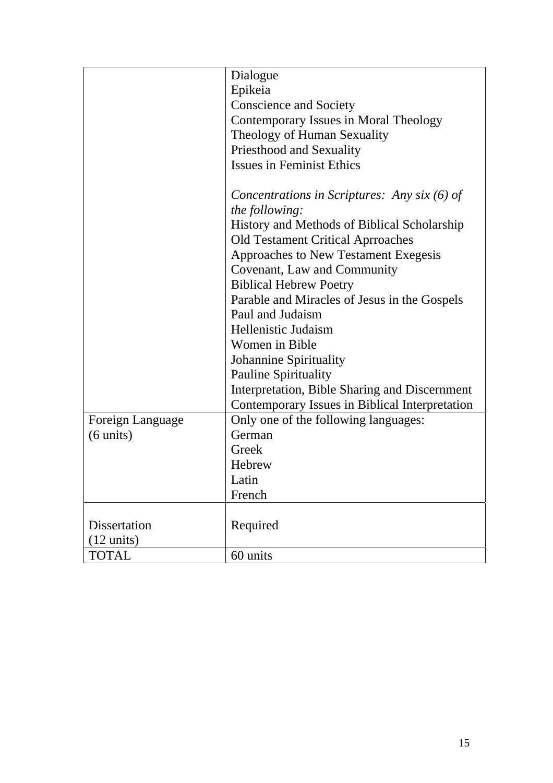|                      | Dialogue                                       |
|----------------------|------------------------------------------------|
|                      | Epikeia                                        |
|                      | <b>Conscience and Society</b>                  |
|                      | Contemporary Issues in Moral Theology          |
|                      | Theology of Human Sexuality                    |
|                      | Priesthood and Sexuality                       |
|                      | <b>Issues in Feminist Ethics</b>               |
|                      |                                                |
|                      | Concentrations in Scriptures: Any six $(6)$ of |
|                      | the following:                                 |
|                      | History and Methods of Biblical Scholarship    |
|                      | <b>Old Testament Critical Aprroaches</b>       |
|                      | Approaches to New Testament Exegesis           |
|                      | Covenant, Law and Community                    |
|                      | <b>Biblical Hebrew Poetry</b>                  |
|                      | Parable and Miracles of Jesus in the Gospels   |
|                      | Paul and Judaism                               |
|                      | Hellenistic Judaism                            |
|                      | Women in Bible                                 |
|                      | <b>Johannine Spirituality</b>                  |
|                      | <b>Pauline Spirituality</b>                    |
|                      | Interpretation, Bible Sharing and Discernment  |
|                      | Contemporary Issues in Biblical Interpretation |
| Foreign Language     | Only one of the following languages:           |
| $(6 \text{ units})$  | German                                         |
|                      | Greek                                          |
|                      | Hebrew                                         |
|                      | Latin                                          |
|                      | French                                         |
|                      |                                                |
| Dissertation         | Required                                       |
| $(12 \text{ units})$ |                                                |
| <b>TOTAL</b>         | 60 units                                       |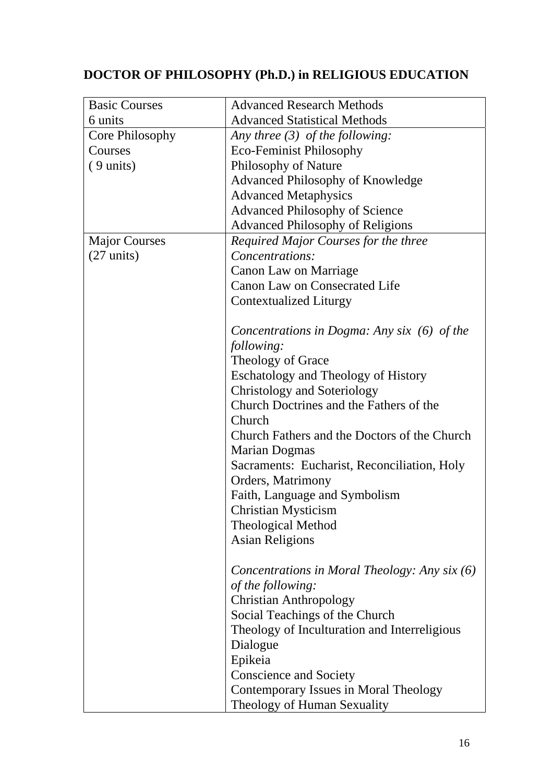# **DOCTOR OF PHILOSOPHY (Ph.D.) in RELIGIOUS EDUCATION**

| <b>Basic Courses</b> | <b>Advanced Research Methods</b>              |
|----------------------|-----------------------------------------------|
| 6 units              | <b>Advanced Statistical Methods</b>           |
| Core Philosophy      | Any three $(3)$ of the following:             |
| Courses              | <b>Eco-Feminist Philosophy</b>                |
| $(9 \text{ units})$  | Philosophy of Nature                          |
|                      | <b>Advanced Philosophy of Knowledge</b>       |
|                      | <b>Advanced Metaphysics</b>                   |
|                      | <b>Advanced Philosophy of Science</b>         |
|                      | <b>Advanced Philosophy of Religions</b>       |
| <b>Major Courses</b> | Required Major Courses for the three          |
| $(27 \text{ units})$ | Concentrations:                               |
|                      | <b>Canon Law on Marriage</b>                  |
|                      | <b>Canon Law on Consecrated Life</b>          |
|                      | <b>Contextualized Liturgy</b>                 |
|                      |                                               |
|                      | Concentrations in Dogma: Any six $(6)$ of the |
|                      | following:                                    |
|                      | Theology of Grace                             |
|                      | <b>Eschatology and Theology of History</b>    |
|                      | <b>Christology and Soteriology</b>            |
|                      | Church Doctrines and the Fathers of the       |
|                      | Church                                        |
|                      | Church Fathers and the Doctors of the Church  |
|                      | <b>Marian Dogmas</b>                          |
|                      | Sacraments: Eucharist, Reconciliation, Holy   |
|                      | Orders, Matrimony                             |
|                      | Faith, Language and Symbolism                 |
|                      | <b>Christian Mysticism</b>                    |
|                      | <b>Theological Method</b>                     |
|                      | <b>Asian Religions</b>                        |
|                      |                                               |
|                      | Concentrations in Moral Theology: Any six (6) |
|                      | of the following:                             |
|                      | <b>Christian Anthropology</b>                 |
|                      |                                               |
|                      | Social Teachings of the Church                |
|                      | Theology of Inculturation and Interreligious  |
|                      | Dialogue                                      |
|                      | Epikeia                                       |
|                      | <b>Conscience and Society</b>                 |
|                      | Contemporary Issues in Moral Theology         |
|                      | Theology of Human Sexuality                   |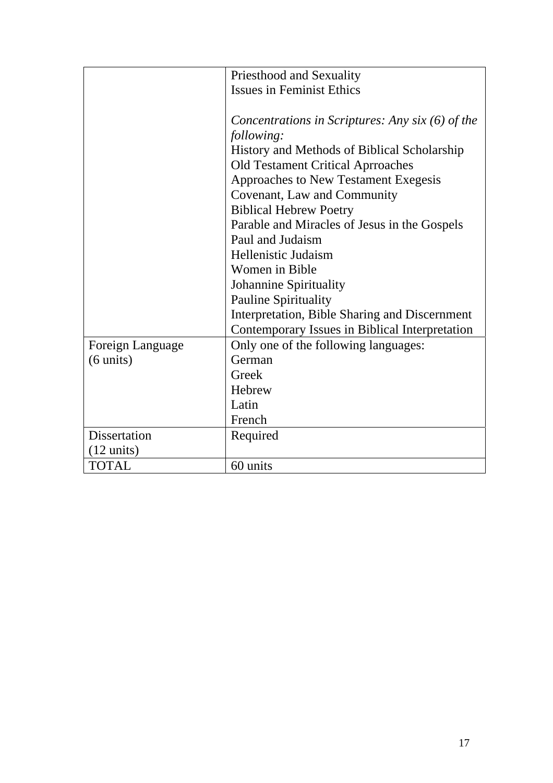|                      | Priesthood and Sexuality                           |
|----------------------|----------------------------------------------------|
|                      | <b>Issues in Feminist Ethics</b>                   |
|                      |                                                    |
|                      | Concentrations in Scriptures: Any six $(6)$ of the |
|                      | following:                                         |
|                      | History and Methods of Biblical Scholarship        |
|                      | <b>Old Testament Critical Aprroaches</b>           |
|                      | Approaches to New Testament Exegesis               |
|                      | Covenant, Law and Community                        |
|                      | <b>Biblical Hebrew Poetry</b>                      |
|                      | Parable and Miracles of Jesus in the Gospels       |
|                      | Paul and Judaism                                   |
|                      | Hellenistic Judaism                                |
|                      | Women in Bible                                     |
|                      | Johannine Spirituality                             |
|                      | <b>Pauline Spirituality</b>                        |
|                      | Interpretation, Bible Sharing and Discernment      |
|                      | Contemporary Issues in Biblical Interpretation     |
| Foreign Language     | Only one of the following languages:               |
| $(6 \text{ units})$  | German                                             |
|                      | Greek                                              |
|                      | Hebrew                                             |
|                      | Latin                                              |
|                      | French                                             |
| <b>Dissertation</b>  | Required                                           |
| $(12 \text{ units})$ |                                                    |
| <b>TOTAL</b>         | 60 units                                           |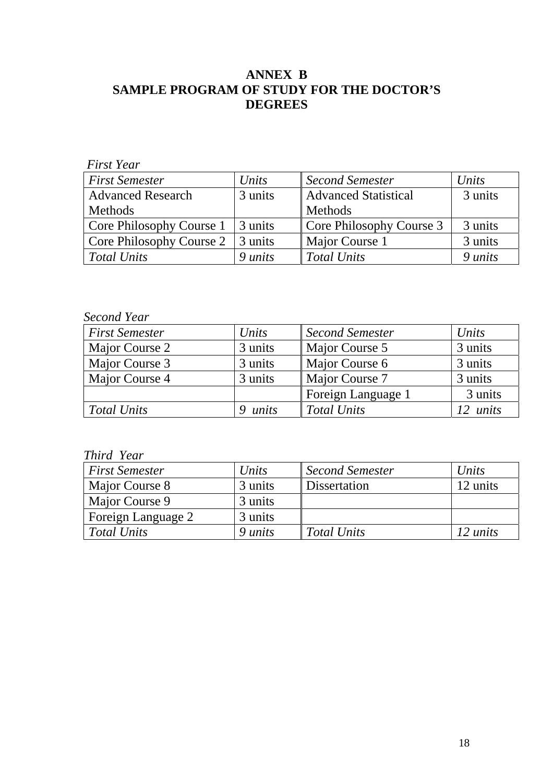# **ANNEX B SAMPLE PROGRAM OF STUDY FOR THE DOCTOR'S DEGREES**

*First Year* 

| <b>First Semester</b>                           | Units          | <b>Second Semester</b>      | Units          |
|-------------------------------------------------|----------------|-----------------------------|----------------|
| <b>Advanced Research</b>                        | 3 units        | <b>Advanced Statistical</b> | 3 units        |
| <b>Methods</b>                                  |                | <b>Methods</b>              |                |
| Core Philosophy Course $1 \mid 3 \text{ units}$ |                | Core Philosophy Course 3    | 3 units        |
| Core Philosophy Course 2                        | 3 units        | Major Course 1              | 3 units        |
| <b>Total Units</b>                              | 9 <i>units</i> | <b>Total Units</b>          | 9 <i>units</i> |

## *Second Year*

| <b>First Semester</b> | Units   | <b>Second Semester</b> | Units    |
|-----------------------|---------|------------------------|----------|
| Major Course 2        | 3 units | Major Course 5         | 3 units  |
| Major Course 3        | 3 units | Major Course 6         | 3 units  |
| Major Course 4        | 3 units | Major Course 7         | 3 units  |
|                       |         | Foreign Language 1     | 3 units  |
| <b>Total Units</b>    | units   | <b>Total Units</b>     | 12 units |

## *Third Year*

| <b>First Semester</b>     | Units   | Second Semester    | Units    |
|---------------------------|---------|--------------------|----------|
| Major Course 8            | 3 units | Dissertation       | 12 units |
| Major Course 9            | 3 units |                    |          |
| <b>Foreign Language 2</b> | 3 units |                    |          |
| Total Units               | 9 units | <b>Total Units</b> | 12 units |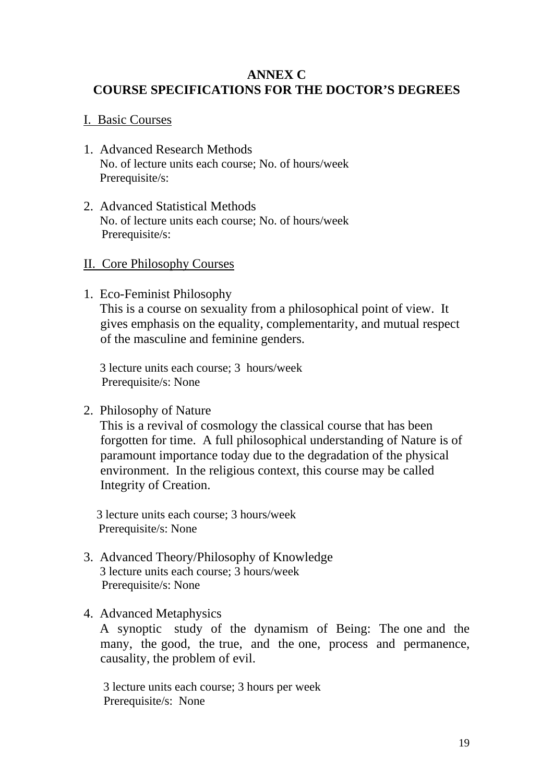## **ANNEX C COURSE SPECIFICATIONS FOR THE DOCTOR'S DEGREES**

#### I. Basic Courses

- 1. Advanced Research Methods No. of lecture units each course; No. of hours/week Prerequisite/s:
- 2. Advanced Statistical Methods No. of lecture units each course; No. of hours/week Prerequisite/s:

### II. Core Philosophy Courses

1. Eco-Feminist Philosophy

 This is a course on sexuality from a philosophical point of view. It gives emphasis on the equality, complementarity, and mutual respect of the masculine and feminine genders.

 3 lecture units each course; 3 hours/week Prerequisite/s: None

2. Philosophy of Nature

 This is a revival of cosmology the classical course that has been forgotten for time. A full philosophical understanding of Nature is of paramount importance today due to the degradation of the physical environment. In the religious context, this course may be called Integrity of Creation.

 3 lecture units each course; 3 hours/week Prerequisite/s: None

- 3. Advanced Theory/Philosophy of Knowledge 3 lecture units each course; 3 hours/week Prerequisite/s: None
- 4. Advanced Metaphysics

A synoptic study of the dynamism of Being: The one and the many, the good, the true, and the one, process and permanence, causality, the problem of evil.

 3 lecture units each course; 3 hours per week Prerequisite/s: None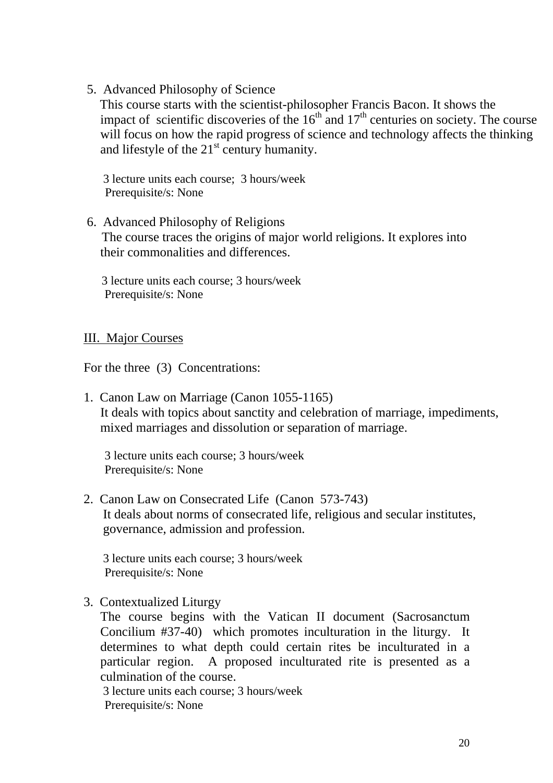5. Advanced Philosophy of Science

 This course starts with the scientist-philosopher Francis Bacon. It shows the impact of scientific discoveries of the  $16<sup>th</sup>$  and  $17<sup>th</sup>$  centuries on society. The course will focus on how the rapid progress of science and technology affects the thinking and lifestyle of the  $21<sup>st</sup>$  century humanity.

 3 lecture units each course; 3 hours/week Prerequisite/s: None

 6. Advanced Philosophy of Religions The course traces the origins of major world religions. It explores into their commonalities and differences.

 3 lecture units each course; 3 hours/week Prerequisite/s: None

## III. Major Courses

For the three (3) Concentrations:

1. Canon Law on Marriage (Canon 1055-1165) It deals with topics about sanctity and celebration of marriage, impediments, mixed marriages and dissolution or separation of marriage.

 3 lecture units each course; 3 hours/week Prerequisite/s: None

2. Canon Law on Consecrated Life (Canon 573-743) It deals about norms of consecrated life, religious and secular institutes, governance, admission and profession.

 3 lecture units each course; 3 hours/week Prerequisite/s: None

3. Contextualized Liturgy

The course begins with the Vatican II document (Sacrosanctum Concilium #37-40) which promotes inculturation in the liturgy. It determines to what depth could certain rites be inculturated in a particular region. A proposed inculturated rite is presented as a culmination of the course.

 3 lecture units each course; 3 hours/week Prerequisite/s: None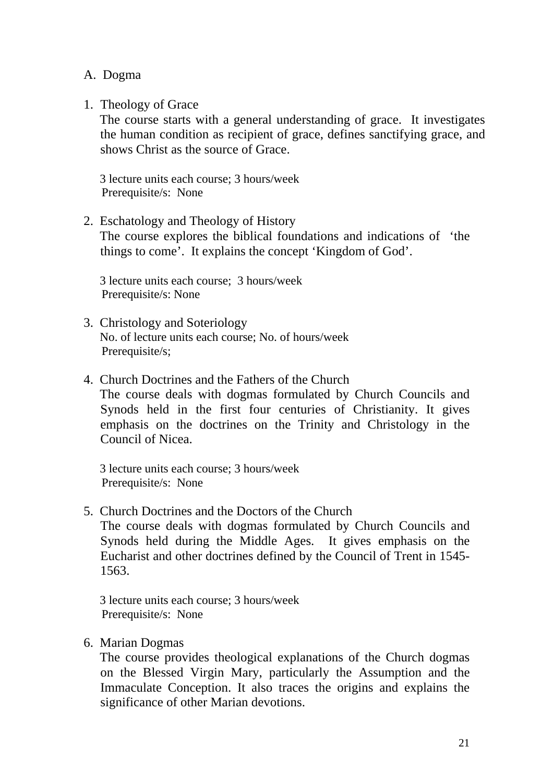#### A. Dogma

1. Theology of Grace

The course starts with a general understanding of grace. It investigates the human condition as recipient of grace, defines sanctifying grace, and shows Christ as the source of Grace.

 3 lecture units each course; 3 hours/week Prerequisite/s: None

2. Eschatology and Theology of History The course explores the biblical foundations and indications of 'the things to come'. It explains the concept 'Kingdom of God'.

 3 lecture units each course; 3 hours/week Prerequisite/s: None

- 3. Christology and Soteriology No. of lecture units each course; No. of hours/week Prerequisite/s;
- 4. Church Doctrines and the Fathers of the Church The course deals with dogmas formulated by Church Councils and Synods held in the first four centuries of Christianity. It gives emphasis on the doctrines on the Trinity and Christology in the Council of Nicea.

 3 lecture units each course; 3 hours/week Prerequisite/s: None

5. Church Doctrines and the Doctors of the Church The course deals with dogmas formulated by Church Councils and Synods held during the Middle Ages. It gives emphasis on the Eucharist and other doctrines defined by the Council of Trent in 1545- 1563.

 3 lecture units each course; 3 hours/week Prerequisite/s: None

#### 6. Marian Dogmas

 The course provides theological explanations of the Church dogmas on the Blessed Virgin Mary, particularly the Assumption and the Immaculate Conception. It also traces the origins and explains the significance of other Marian devotions.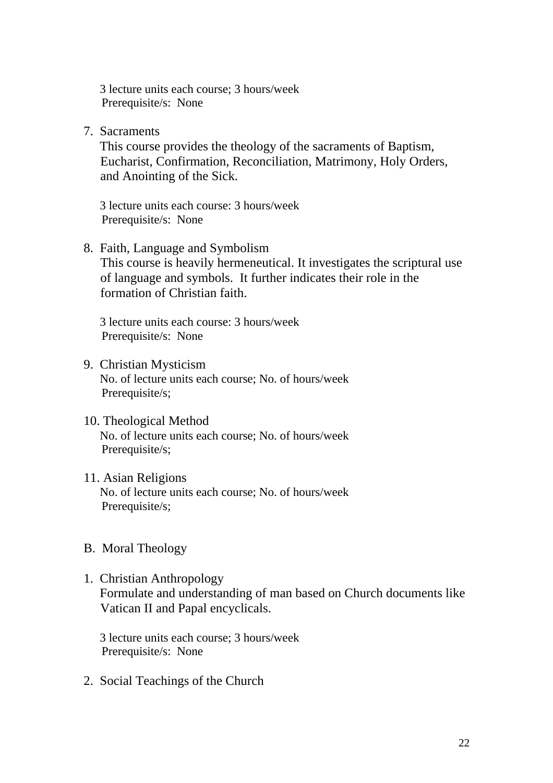3 lecture units each course; 3 hours/week Prerequisite/s: None

7. Sacraments

 This course provides the theology of the sacraments of Baptism, Eucharist, Confirmation, Reconciliation, Matrimony, Holy Orders, and Anointing of the Sick.

 3 lecture units each course: 3 hours/week Prerequisite/s: None

8. Faith, Language and Symbolism

This course is heavily hermeneutical. It investigates the scriptural use of language and symbols. It further indicates their role in the formation of Christian faith.

 3 lecture units each course: 3 hours/week Prerequisite/s: None

- 9. Christian Mysticism No. of lecture units each course; No. of hours/week Prerequisite/s;
- 10. Theological Method No. of lecture units each course; No. of hours/week Prerequisite/s;
- 11. Asian Religions No. of lecture units each course; No. of hours/week Prerequisite/s;
- B. Moral Theology
- 1. Christian Anthropology Formulate and understanding of man based on Church documents like Vatican II and Papal encyclicals.

 3 lecture units each course; 3 hours/week Prerequisite/s: None

2. Social Teachings of the Church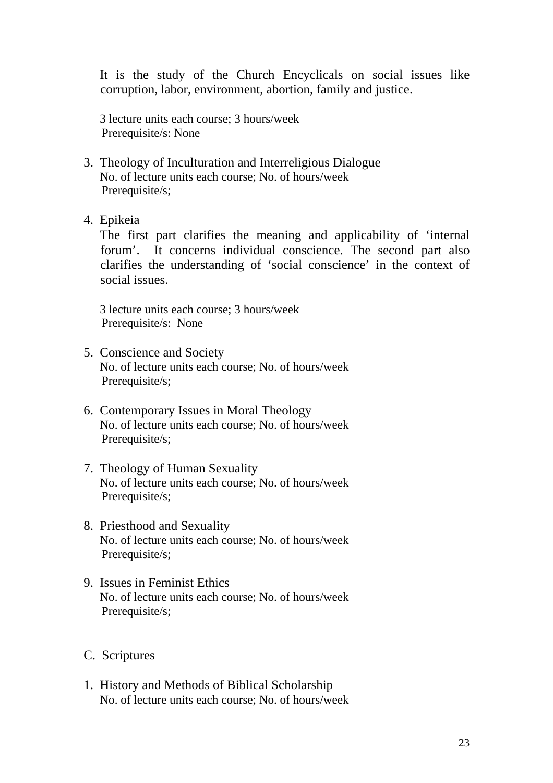It is the study of the Church Encyclicals on social issues like corruption, labor, environment, abortion, family and justice.

 3 lecture units each course; 3 hours/week Prerequisite/s: None

- 3. Theology of Inculturation and Interreligious Dialogue No. of lecture units each course; No. of hours/week Prerequisite/s;
- 4. Epikeia

The first part clarifies the meaning and applicability of 'internal forum'. It concerns individual conscience. The second part also clarifies the understanding of 'social conscience' in the context of social issues.

 3 lecture units each course; 3 hours/week Prerequisite/s: None

- 5. Conscience and Society No. of lecture units each course; No. of hours/week Prerequisite/s;
- 6. Contemporary Issues in Moral Theology No. of lecture units each course; No. of hours/week Prerequisite/s;
- 7. Theology of Human Sexuality No. of lecture units each course; No. of hours/week Prerequisite/s;
- 8. Priesthood and Sexuality No. of lecture units each course; No. of hours/week Prerequisite/s;
- 9. Issues in Feminist Ethics No. of lecture units each course; No. of hours/week Prerequisite/s;

## C. Scriptures

1. History and Methods of Biblical Scholarship No. of lecture units each course; No. of hours/week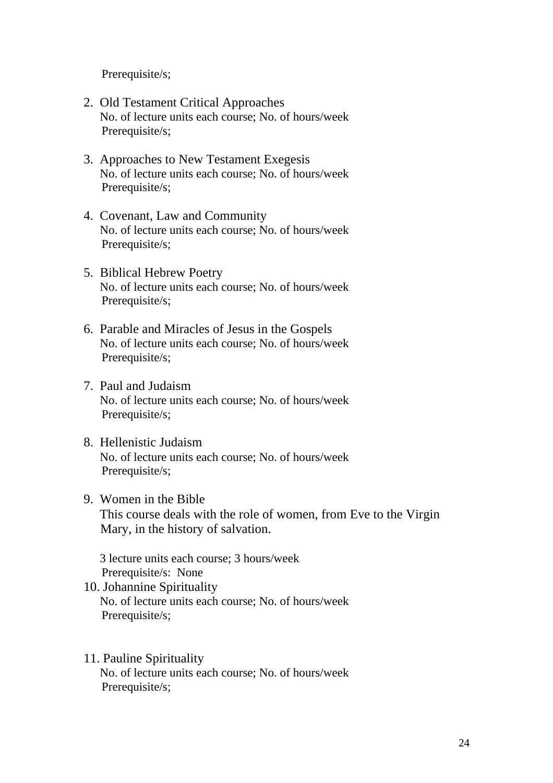Prerequisite/s;

- 2. Old Testament Critical Approaches No. of lecture units each course; No. of hours/week Prerequisite/s;
- 3. Approaches to New Testament Exegesis No. of lecture units each course; No. of hours/week Prerequisite/s;
- 4. Covenant, Law and Community No. of lecture units each course; No. of hours/week Prerequisite/s;
- 5. Biblical Hebrew Poetry No. of lecture units each course; No. of hours/week Prerequisite/s;
- 6. Parable and Miracles of Jesus in the Gospels No. of lecture units each course; No. of hours/week Prerequisite/s;
- 7. Paul and Judaism No. of lecture units each course; No. of hours/week Prerequisite/s;
- 8. Hellenistic Judaism No. of lecture units each course; No. of hours/week Prerequisite/s;
- 9. Women in the Bible This course deals with the role of women, from Eve to the Virgin Mary, in the history of salvation.

 3 lecture units each course; 3 hours/week Prerequisite/s: None

10. Johannine Spirituality No. of lecture units each course; No. of hours/week Prerequisite/s;

#### 11. Pauline Spirituality

 No. of lecture units each course; No. of hours/week Prerequisite/s;